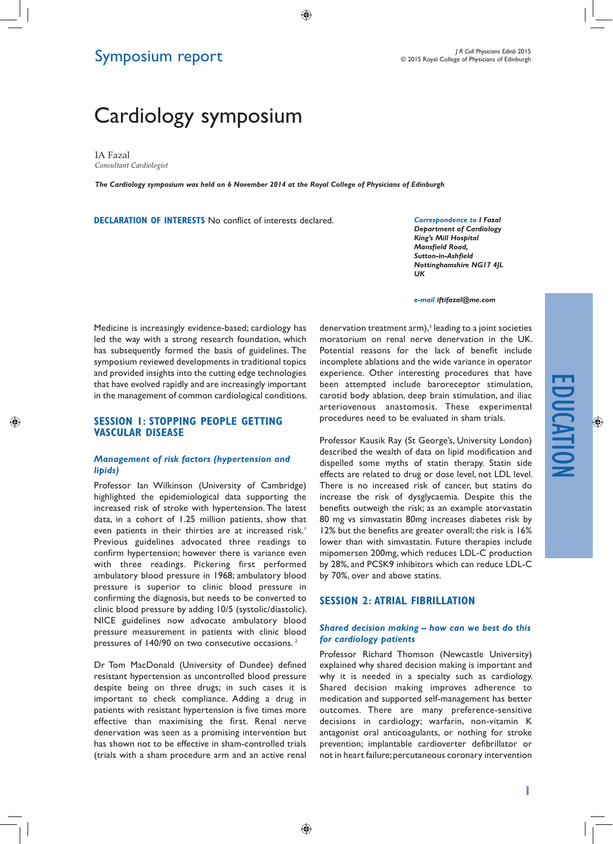# Symposium report

# Cardiology symposium

IA Fazal *Consultant Cardiologist*

◈

*The Cardiology symposium was held on 6 November 2014 at the Royal College of Physicians of Edinburgh*

 $\bigcirc$ 

**Declaration of Interests** No conflict of interests declared.

*Correspondence to I Fazal Department of Cardiology King's Mill Hospital Mansfield Road, Sutton-in-Ashfield Nottinghamshire NG17 4JL UK*

*e-mail iftifazal@me.com*

Medicine is increasingly evidence-based; cardiology has led the way with a strong research foundation, which has subsequently formed the basis of guidelines. The symposium reviewed developments in traditional topics and provided insights into the cutting edge technologies that have evolved rapidly and are increasingly important in the management of common cardiological conditions.

#### **Session 1: Stopping people getting vascular disease**

#### *Management of risk factors (hypertension and lipids)*

Professor Ian Wilkinson (University of Cambridge) highlighted the epidemiological data supporting the increased risk of stroke with hypertension. The latest data, in a cohort of 1.25 million patients, show that even patients in their thirties are at increased risk.<sup>1</sup> Previous guidelines advocated three readings to confirm hypertension; however there is variance even with three readings. Pickering first performed ambulatory blood pressure in 1968; ambulatory blood pressure is superior to clinic blood pressure in confirming the diagnosis, but needs to be converted to clinic blood pressure by adding 10/5 (systolic/diastolic). NICE guidelines now advocate ambulatory blood pressure measurement in patients with clinic blood pressures of 140/90 on two consecutive occasions.<sup>2</sup>

Dr Tom MacDonald (University of Dundee) defined resistant hypertension as uncontrolled blood pressure despite being on three drugs; in such cases it is important to check compliance. Adding a drug in patients with resistant hypertension is five times more effective than maximising the first. Renal nerve denervation was seen as a promising intervention but has shown not to be effective in sham-controlled trials (trials with a sham procedure arm and an active renal

denervation treatment arm),<sup>3</sup> leading to a joint societies moratorium on renal nerve denervation in the UK. Potential reasons for the lack of benefit include incomplete ablations and the wide variance in operator experience. Other interesting procedures that have been attempted include baroreceptor stimulation, carotid body ablation, deep brain stimulation, and iliac arteriovenous anastomosis. These experimental procedures need to be evaluated in sham trials.

Professor Kausik Ray (St George's, University London) described the wealth of data on lipid modification and dispelled some myths of statin therapy. Statin side effects are related to drug or dose level, not LDL level. There is no increased risk of cancer, but statins do increase the risk of dysglycaemia. Despite this the benefits outweigh the risk; as an example atorvastatin 80 mg vs simvastatin 80mg increases diabetes risk by 12% but the benefits are greater overall; the risk is 16% lower than with simvastatin. Future therapies include mipomersen 200mg, which reduces LDL-C production by 28%, and PCSK9 inhibitors which can reduce LDL-C by 70%, over and above statins.

#### **Session 2: Atrial fibrillation**

#### *Shared decision making – how can we best do this for cardiology patients*

Professor Richard Thomson (Newcastle University) explained why shared decision making is important and why it is needed in a specialty such as cardiology. Shared decision making improves adherence to medication and supported self-management has better outcomes. There are many preference-sensitive decisions in cardiology; warfarin, non-vitamin K antagonist oral anticoagulants, or nothing for stroke prevention; implantable cardioverter defibrillator or not in heart failure; percutaneous coronary intervention

**1**

◈

◈